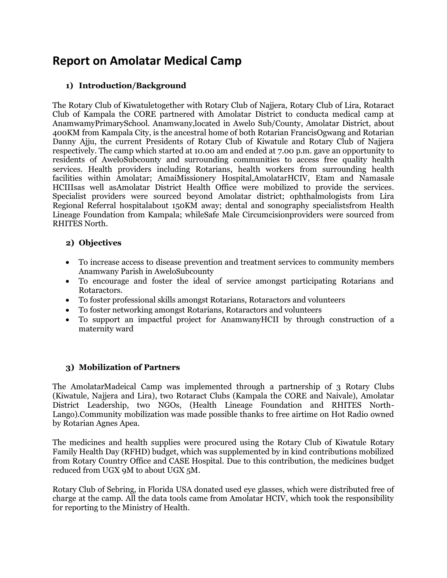# **Report on Amolatar Medical Camp**

### **1) Introduction/Background**

The Rotary Club of Kiwatuletogether with Rotary Club of Najjera, Rotary Club of Lira, Rotaract Club of Kampala the CORE partnered with Amolatar District to conducta medical camp at AnamwamyPrimarySchool. Anamwany,located in Awelo Sub/County, Amolatar District, about 400KM from Kampala City, is the ancestral home of both Rotarian FrancisOgwang and Rotarian Danny Ajju, the current Presidents of Rotary Club of Kiwatule and Rotary Club of Najjera respectively. The camp which started at 10.00 am and ended at 7.00 p.m. gave an opportunity to residents of AweloSubcounty and surrounding communities to access free quality health services. Health providers including Rotarians, health workers from surrounding health facilities within Amolatar; AmaiMissionery Hospital,AmolatarHCIV, Etam and Namasale HCIIIsas well asAmolatar District Health Office were mobilized to provide the services. Specialist providers were sourced beyond Amolatar district; ophthalmologists from Lira Regional Referral hospitalabout 150KM away; dental and sonography specialistsfrom Health Lineage Foundation from Kampala; whileSafe Male Circumcisionproviders were sourced from RHITES North.

#### **2) Objectives**

- To increase access to disease prevention and treatment services to community members Anamwany Parish in AweloSubcounty
- To encourage and foster the ideal of service amongst participating Rotarians and Rotaractors.
- To foster professional skills amongst Rotarians, Rotaractors and volunteers
- To foster networking amongst Rotarians, Rotaractors and volunteers
- To support an impactful project for AnamwanyHCII by through construction of a maternity ward

### **3) Mobilization of Partners**

The AmolatarMadeical Camp was implemented through a partnership of 3 Rotary Clubs (Kiwatule, Najjera and Lira), two Rotaract Clubs (Kampala the CORE and Naivale), Amolatar District Leadership, two NGOs, (Health Lineage Foundation and RHITES North-Lango).Community mobilization was made possible thanks to free airtime on Hot Radio owned by Rotarian Agnes Apea.

The medicines and health supplies were procured using the Rotary Club of Kiwatule Rotary Family Health Day (RFHD) budget, which was supplemented by in kind contributions mobilized from Rotary Country Office and CASE Hospital. Due to this contribution, the medicines budget reduced from UGX 9M to about UGX 5M.

Rotary Club of Sebring, in Florida USA donated used eye glasses, which were distributed free of charge at the camp. All the data tools came from Amolatar HCIV, which took the responsibility for reporting to the Ministry of Health.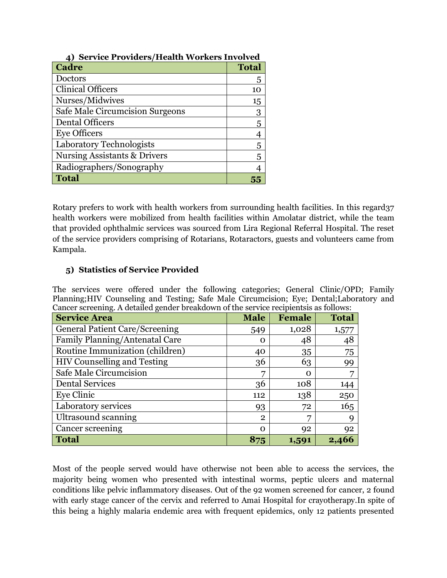| $\alpha$ between to the condition of the condition of the condition<br><b>Cadre</b> | <b>Total</b> |
|-------------------------------------------------------------------------------------|--------------|
| Doctors                                                                             | 5            |
| <b>Clinical Officers</b>                                                            | 10           |
| Nurses/Midwives                                                                     | 15           |
| Safe Male Circumcision Surgeons                                                     | 3            |
| <b>Dental Officers</b>                                                              | 5            |
| <b>Eye Officers</b>                                                                 |              |
| Laboratory Technologists                                                            | 5            |
| <b>Nursing Assistants &amp; Drivers</b>                                             | 5            |
| Radiographers/Sonography                                                            |              |
| <b>Total</b>                                                                        |              |

### **4) Service Providers/Health Workers Involved**

Rotary prefers to work with health workers from surrounding health facilities. In this regard37 health workers were mobilized from health facilities within Amolatar district, while the team that provided ophthalmic services was sourced from Lira Regional Referral Hospital. The reset of the service providers comprising of Rotarians, Rotaractors, guests and volunteers came from Kampala.

# **5) Statistics of Service Provided**

The services were offered under the following categories; General Clinic/OPD; Family Planning;HIV Counseling and Testing; Safe Male Circumcision; Eye; Dental;Laboratory and Cancer screening. A detailed gender breakdown of the service recipientsis as follows:

| <b>Service Area</b>                   | <b>Male</b>  | <b>Female</b> | <b>Total</b> |
|---------------------------------------|--------------|---------------|--------------|
| <b>General Patient Care/Screening</b> | 549          | 1,028         | 1,577        |
| Family Planning/Antenatal Care        | Ω            | 48            | 48           |
| Routine Immunization (children)       | 40           | 35            | 75           |
| <b>HIV Counselling and Testing</b>    | 36           | 63            | 99           |
| Safe Male Circumcision                | 7            | Ω             | 7            |
| <b>Dental Services</b>                | 36           | 108           | 144          |
| <b>Eye Clinic</b>                     | 112          | 138           | 250          |
| Laboratory services                   | 93           | 72            | 165          |
| Ultrasound scanning                   | $\mathbf{2}$ | 5             | Q            |
| Cancer screening                      | $\Omega$     | 92            | 92           |
| <b>Total</b>                          | 875          | 1,591         | 2,466        |

Most of the people served would have otherwise not been able to access the services, the majority being women who presented with intestinal worms, peptic ulcers and maternal conditions like pelvic inflammatory diseases. Out of the 92 women screened for cancer, 2 found with early stage cancer of the cervix and referred to Amai Hospital for crayotherapy.In spite of this being a highly malaria endemic area with frequent epidemics, only 12 patients presented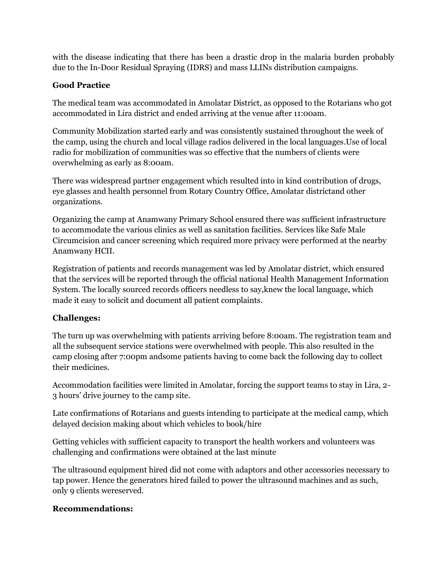with the disease indicating that there has been a drastic drop in the malaria burden probably due to the In-Door Residual Spraying (IDRS) and mass LLINs distribution campaigns.

## **Good Practice**

The medical team was accommodated in Amolatar District, as opposed to the Rotarians who got accommodated in Lira district and ended arriving at the venue after 11:00am.

Community Mobilization started early and was consistently sustained throughout the week of the camp, using the church and local village radios delivered in the local languages.Use of local radio for mobilization of communities was so effective that the numbers of clients were overwhelming as early as 8:00am.

There was widespread partner engagement which resulted into in kind contribution of drugs, eye glasses and health personnel from Rotary Country Office, Amolatar districtand other organizations.

Organizing the camp at Anamwany Primary School ensured there was sufficient infrastructure to accommodate the various clinics as well as sanitation facilities. Services like Safe Male Circumcision and cancer screening which required more privacy were performed at the nearby Anamwany HCII.

Registration of patients and records management was led by Amolatar district, which ensured that the services will be reported through the official national Health Management Information System. The locally sourced records officers needless to say,knew the local language, which made it easy to solicit and document all patient complaints.

### **Challenges:**

The turn up was overwhelming with patients arriving before 8:00am. The registration team and all the subsequent service stations were overwhelmed with people. This also resulted in the camp closing after 7:00pm andsome patients having to come back the following day to collect their medicines.

Accommodation facilities were limited in Amolatar, forcing the support teams to stay in Lira, 2- 3 hours' drive journey to the camp site.

Late confirmations of Rotarians and guests intending to participate at the medical camp, which delayed decision making about which vehicles to book/hire

Getting vehicles with sufficient capacity to transport the health workers and volunteers was challenging and confirmations were obtained at the last minute

The ultrasound equipment hired did not come with adaptors and other accessories necessary to tap power. Hence the generators hired failed to power the ultrasound machines and as such, only 9 clients wereserved.

### **Recommendations:**